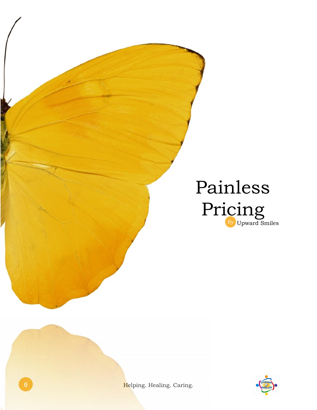



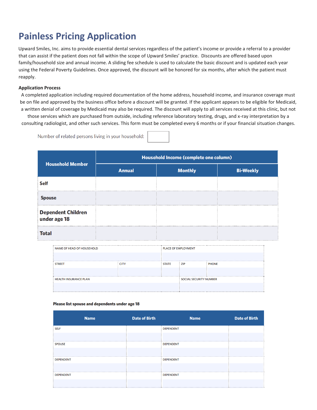## **Painless Pricing Application**

Upward Smiles, Inc. aims to provide essential dental services regardless of the patient's income or provide a referral to a provider that can assist if the patient does not fall within the scope of Upward Smiles' practice. Discounts are offered based upon family/household size and annual income. A sliding fee schedule is used to calculate the basic discount and is updated each year using the Federal Poverty Guidelines. Once approved, the discount will be honored for six months, after which the patient must reapply.

## **Application Process**

A completed application including required documentation of the home address, household income, and insurance coverage must be on file and approved by the business office before a discount will be granted. If the applicant appears to be eligible for Medicaid, a written denial of coverage by Medicaid may also be required. The discount will apply to all services received at this clinic, but not

those services which are purchased from outside, including reference laboratory testing, drugs, and x-ray interpretation by a consulting radiologist, and other such services. This form must be completed every 6 months or if your financial situation changes.

Number of related persons living in your household:

|                                           | Household Income (complete one column) |                |                  |  |  |
|-------------------------------------------|----------------------------------------|----------------|------------------|--|--|
| <b>Household Member</b>                   | <b>Annual</b>                          | <b>Monthly</b> | <b>Bi-Weekly</b> |  |  |
| <b>Self</b>                               |                                        |                |                  |  |  |
| <b>Spouse</b>                             |                                        |                |                  |  |  |
| <b>Dependent Children</b><br>under age 18 |                                        |                |                  |  |  |
| <b>Total</b>                              |                                        |                |                  |  |  |

| : NAME OF HEAD OF HOUSEHOLD |             | <b>E PLACE OF EMPLOYMENT</b> |                               |              |
|-----------------------------|-------------|------------------------------|-------------------------------|--------------|
|                             |             |                              |                               |              |
| : STREET                    | <b>CITY</b> | <b>STATE</b>                 | $\frac{1}{2}$ ZIP             | <b>PHONE</b> |
|                             |             |                              |                               |              |
| : HEALTH INSURANCE PLAN     |             |                              | <b>SOCIAL SECURITY NUMBER</b> |              |
|                             |             |                              |                               |              |

## Please list spouse and dependents under age 18

| <b>Name</b>      | <b>Date of Birth</b> | <b>Name</b>      | <b>Date of Birth</b> |
|------------------|----------------------|------------------|----------------------|
| <b>SELF</b>      |                      | <b>DEPENDENT</b> |                      |
|                  |                      |                  |                      |
| <b>SPOUSE</b>    |                      | <b>DEPENDENT</b> |                      |
|                  |                      |                  |                      |
| <b>DEPENDENT</b> |                      | <b>DEPENDENT</b> |                      |
|                  |                      |                  |                      |
| <b>DEPENDENT</b> |                      | <b>DEPENDENT</b> |                      |
|                  |                      |                  |                      |